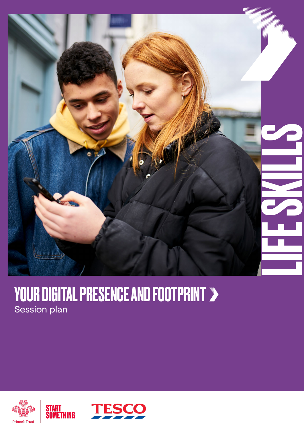

### YOUR DIGITAL PRESENCE AND FOOTPRINT Session plan



START<br>Something

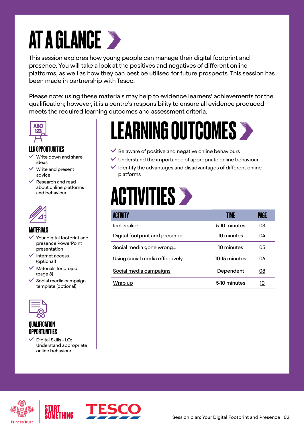## AT A GLANCE >

This session explores how young people can manage their digital footprint and presence. You will take a look at the positives and negatives of different online platforms, as well as how they can best be utilised for future prospects. This session has been made in partnership with Tesco.

Please note: using these materials may help to evidence learners' achievements for the qualification; however, it is a centre's responsibility to ensure all evidence produced meets the required learning outcomes and assessment criteria.



### LLN OPPORTUNITIES

- Write down and share ideas
- Write and present advice
- $\vee$  Research and read about online platforms and behaviour



### MATERIALS

- $\checkmark$  Your digital footprint and presence PowerPoint presentation
- $\blacktriangleright$  Internet access (optional)
- $\checkmark$  Materials for project (page 8)
- $\checkmark$  Social media campaign template (optional)



### QUALIFICATION OPPORTUNITIES

 Digital Skills - LO: Understand appropriate online behaviour

## LEARNING OUTCOMES

- $\checkmark$  Be aware of positive and negative online behaviours
- $\vee$  Understand the importance of appropriate online behaviour
- $\blacktriangleright$  Identify the advantages and disadvantages of different online platforms

### **ACTIVITIES >**

| ACTIVITY                       | TIME          | PAGE |
|--------------------------------|---------------|------|
| Icebreaker                     | 5-10 minutes  | 03   |
| Digital footprint and presence | 10 minutes    | 04   |
| Social media gone wrong        | 10 minutes    | 05   |
| Using social media effectively | 10-15 minutes | 06   |
| Social media campaigns         | Dependent     | 08   |
| Wrap up                        | 5-10 minutes  | 10   |





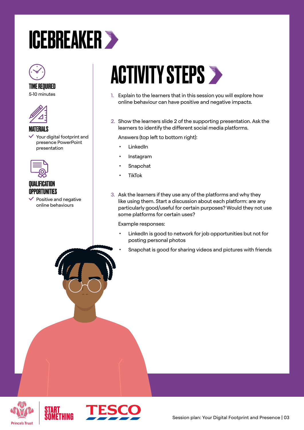### <span id="page-2-0"></span>ICEBREAKER



#### TIME REQUIRED 5-10 minutes



### MATERIALS

 Your digital footprint and presence PowerPoint presentation



### **QUALIFICATION OPPORTUNITIES**

 Positive and negative online behaviours

## **ACTIVITY STEPS >**

- 1. Explain to the learners that in this session you will explore how online behaviour can have positive and negative impacts.
- 2. Show the learners slide 2 of the supporting presentation. Ask the learners to identify the different social media platforms.

Answers (top left to bottom right):

- LinkedIn
- **Instagram**
- **Snapchat**
- **TikTok**
- 3. Ask the learners if they use any of the platforms and why they like using them. Start a discussion about each platform: are any particularly good/useful for certain purposes? Would they not use some platforms for certain uses?

Example responses:

- LinkedIn is good to network for job opportunities but not for posting personal photos
	- Snapchat is good for sharing videos and pictures with friends





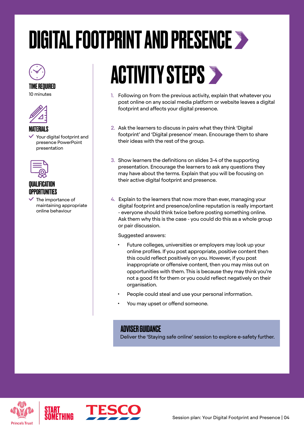## <span id="page-3-0"></span>DIGITAL FOOTPRINT AND PRESENCE >



TIME REQUIRED





### MATERIALS

 Your digital footprint and presence PowerPoint presentation



### **QUALIFICATION** OPPORTUNITIES

 The importance of maintaining appropriate online behaviour

## ACTIVITY STEPS >

- 1. Following on from the previous activity, explain that whatever you post online on any social media platform or website leaves a digital footprint and affects your digital presence.
- 2. Ask the learners to discuss in pairs what they think 'Digital footprint' and 'Digital presence' mean. Encourage them to share their ideas with the rest of the group.
- 3. Show learners the definitions on slides 3-4 of the supporting presentation. Encourage the learners to ask any questions they may have about the terms. Explain that you will be focusing on their active digital footprint and presence.
- 4. Explain to the learners that now more than ever, managing your digital footprint and presence/online reputation is really important - everyone should think twice before posting something online. Ask them why this is the case - you could do this as a whole group or pair discussion.

Suggested answers:

- Future colleges, universities or employers may look up your online profiles. If you post appropriate, positive content then this could reflect positively on you. However, if you post inappropriate or offensive content, then you may miss out on opportunities with them. This is because they may think you're not a good fit for them or you could reflect negatively on their organisation.
- People could steal and use your personal information.
- You may upset or offend someone.

### ADVISER GUIDANCE

Deliver the 'Staying safe online' session to explore e-safety further.



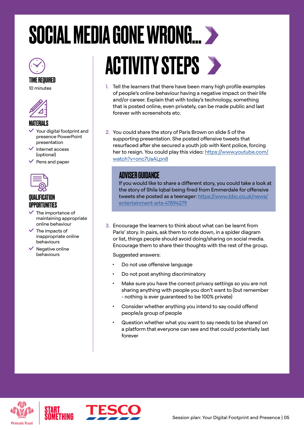## <span id="page-4-0"></span>SOCIAL MEDIA GONE WRONG...



TIME REQUIRED 10 minutes



#### **MATFRIALS**

- Your digital footprint and presence PowerPoint presentation
- Internet access (optional)
- $\vee$  Pens and paper



### QUALIFICATION OPPORTUNITIES

- $\checkmark$  The importance of maintaining appropriate online behaviour
- $\checkmark$  The impacts of inappropriate online behaviours
- $\checkmark$  Negative online behaviours

# ACTIVITY STEPS

- 1. Tell the learners that there have been many high profile examples of people's online behaviour having a negative impact on their life and/or career. Explain that with today's technology, something that is posted online, even privately, can be made public and last forever with screenshots etc.
- 2. You could share the story of Paris Brown on slide 5 of the supporting presentation. She posted offensive tweets that resurfaced after she secured a youth job with Kent police, forcing her to resign. You could play this video: [https://www.youtube.com/](https://www.youtube.com/watch?v=onc7UaALpn8) [watch?v=onc7UaALpn8](https://www.youtube.com/watch?v=onc7UaALpn8)

### ADVISER GUIDANCE

If you would like to share a different story, you could take a look at the story of Shila Iqbal being fired from Emmerdale for offensive tweets she posted as a teenager: [https://www.bbc.co.uk/news/](https://www.bbc.co.uk/news/entertainment-arts-47894279) [entertainment-arts-47894279](https://www.bbc.co.uk/news/entertainment-arts-47894279)

3. Encourage the learners to think about what can be learnt from Paris' story. In pairs, ask them to note down, in a spider diagram or list, things people should avoid doing/sharing on social media. Encourage them to share their thoughts with the rest of the group.

Suggested answers:

- Do not use offensive language
- Do not post anything discriminatory
- Make sure you have the correct privacy settings so you are not sharing anything with people you don't want to (but remember - nothing is ever guaranteed to be 100% private)
- Consider whether anything you intend to say could offend people/a group of people
- Question whether what you want to say needs to be shared on a platform that everyone can see and that could potentially last forever





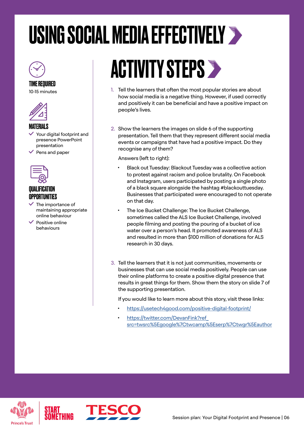## <span id="page-5-0"></span>USING SOCIAL MEDIA EFFECTIVELY >



### TIME REQUIRED

10-15 minutes



### MATERIALS

- $\checkmark$  Your digital footprint and presence PowerPoint presentation
- Pens and paper



### QUALIFICATION OPPORTUNITIES

- $\checkmark$  The importance of maintaining appropriate online behaviour
- Positive online behaviours

## ACTIVITY STEPS

- 1. Tell the learners that often the most popular stories are about how social media is a negative thing. However, if used correctly and positively it can be beneficial and have a positive impact on people's lives.
- 2. Show the learners the images on slide 6 of the supporting presentation. Tell them that they represent different social media events or campaigns that have had a positive impact. Do they recognise any of them?

Answers (left to right):

- Black out Tuesday: Blackout Tuesday was a collective action to protest against racism and police brutality. On Facebook and Instagram, users participated by posting a single photo of a black square alongside the hashtag #blackouttuesday. Businesses that participated were encouraged to not operate on that day.
- The Ice Bucket Challenge: The Ice Bucket Challenge, sometimes called the ALS Ice Bucket Challenge, involved people filming and posting the pouring of a bucket of ice water over a person's head. It promoted awareness of ALS and resulted in more than \$100 million of donations for ALS research in 30 days.
- 3. Tell the learners that it is not just communities, movements or businesses that can use social media positively. People can use their online platforms to create a positive digital presence that results in great things for them. Show them the story on slide 7 of the supporting presentation.

If you would like to learn more about this story, visit these links:

- <https://usetech4good.com/positive-digital-footprint/>
- https://twitter.com/DevanFink?ref [src=twsrc%5Egoogle%7Ctwcamp%5Eserp%7Ctwgr%5Eauthor](https://twitter.com/DevanFink?ref_src=twsrc%5Egoogle%7Ctwcamp%5Eserp%7Ctwgr%5Eauthor)



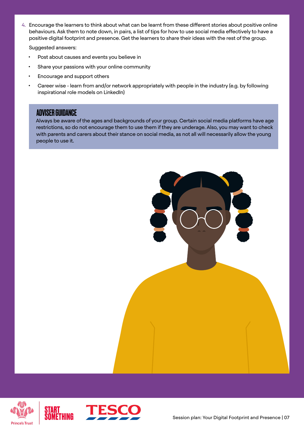4. Encourage the learners to think about what can be learnt from these different stories about positive online behaviours. Ask them to note down, in pairs, a list of tips for how to use social media effectively to have a positive digital footprint and presence. Get the learners to share their ideas with the rest of the group.

Suggested answers:

- Post about causes and events you believe in
- Share your passions with your online community
- Encourage and support others
- Career wise learn from and/or network appropriately with people in the industry (e.g. by following inspirational role models on LinkedIn)

### ADVISER GUIDANCE

 Always be aware of the ages and backgrounds of your group. Certain social media platforms have age restrictions, so do not encourage them to use them if they are underage. Also, you may want to check with parents and carers about their stance on social media, as not all will necessarily allow the young people to use it.





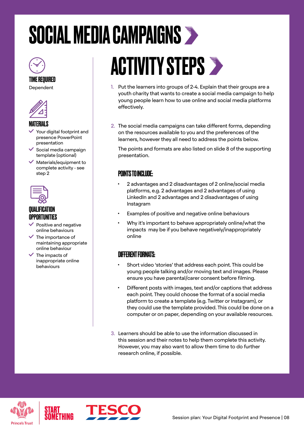## <span id="page-7-0"></span>SOCIAL MEDIA CAMPAIGNS



TIME REQUIRED Dependent



### MATERIALS

- Your digital footprint and presence PowerPoint presentation
- $\checkmark$  Social media campaign template (optional)
- $\vee$  Materials/equipment to complete activity - see step 2



### **QUALIFICATION OPPORTUNITIES**

- Positive and negative online behaviours
- $\checkmark$  The importance of maintaining appropriate online behaviour
- $\angle$  The impacts of inappropriate online behaviours

## ACTIVITY STEPS >

- 1. Put the learners into groups of 2-4. Explain that their groups are a youth charity that wants to create a social media campaign to help young people learn how to use online and social media platforms effectively.
- 2. The social media campaigns can take different forms, depending on the resources available to you and the preferences of the learners, however they all need to address the points below.

The points and formats are also listed on slide 8 of the supporting presentation.

### POINTS TO INCLUDE:

- 2 advantages and 2 disadvantages of 2 online/social media platforms, e.g. 2 advantages and 2 advantages of using LinkedIn and 2 advantages and 2 disadvantages of using Instagram
- Examples of positive and negative online behaviours
- Why it's important to behave appropriately online/what the impacts may be if you behave negatively/inappropriately online

### DIFFERENT FORMATS:

- Short video 'stories' that address each point. This could be young people talking and/or moving text and images. Please ensure you have parental/carer consent before filming.
- Different posts with images, text and/or captions that address each point. They could choose the format of a social media platform to create a template (e.g. Twitter or Instagram), or they could use the template provided. This could be done on a computer or on paper, depending on your available resources.
- 3. Learners should be able to use the information discussed in this session and their notes to help them complete this activity. However, you may also want to allow them time to do further research online, if possible.



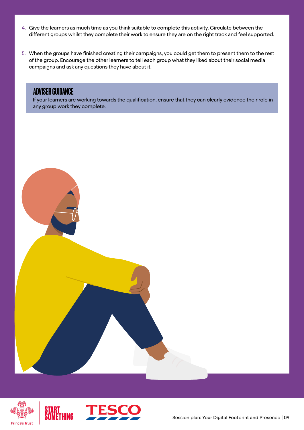- 4. Give the learners as much time as you think suitable to complete this activity. Circulate between the different groups whilst they complete their work to ensure they are on the right track and feel supported.
- 5. When the groups have finished creating their campaigns, you could get them to present them to the rest of the group. Encourage the other learners to tell each group what they liked about their social media campaigns and ask any questions they have about it.

### ADVISER GUIDANCE

 If your learners are working towards the qualification, ensure that they can clearly evidence their role in any group work they complete.